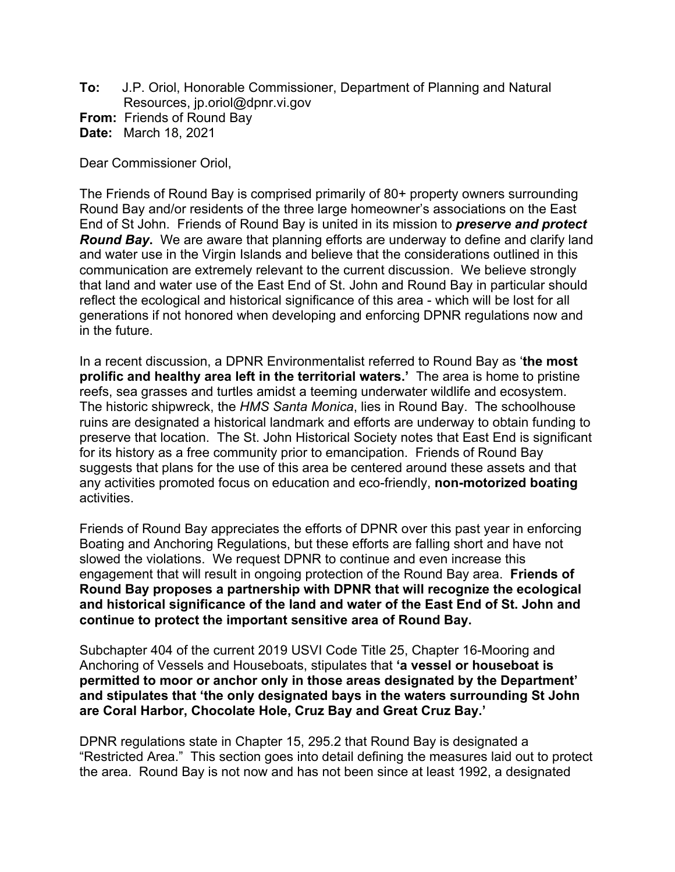**To:** J.P. Oriol, Honorable Commissioner, Department of Planning and Natural Resources, jp.oriol@dpnr.vi.gov **From:** Friends of Round Bay

**Date:** March 18, 2021

Dear Commissioner Oriol,

The Friends of Round Bay is comprised primarily of 80+ property owners surrounding Round Bay and/or residents of the three large homeowner's associations on the East End of St John. Friends of Round Bay is united in its mission to *preserve and protect Round Bay***.** We are aware that planning efforts are underway to define and clarify land and water use in the Virgin Islands and believe that the considerations outlined in this communication are extremely relevant to the current discussion. We believe strongly that land and water use of the East End of St. John and Round Bay in particular should reflect the ecological and historical significance of this area - which will be lost for all generations if not honored when developing and enforcing DPNR regulations now and in the future.

In a recent discussion, a DPNR Environmentalist referred to Round Bay as '**the most prolific and healthy area left in the territorial waters.'** The area is home to pristine reefs, sea grasses and turtles amidst a teeming underwater wildlife and ecosystem. The historic shipwreck, the *HMS Santa Monica*, lies in Round Bay. The schoolhouse ruins are designated a historical landmark and efforts are underway to obtain funding to preserve that location. The St. John Historical Society notes that East End is significant for its history as a free community prior to emancipation. Friends of Round Bay suggests that plans for the use of this area be centered around these assets and that any activities promoted focus on education and eco-friendly, **non-motorized boating**  activities.

Friends of Round Bay appreciates the efforts of DPNR over this past year in enforcing Boating and Anchoring Regulations, but these efforts are falling short and have not slowed the violations. We request DPNR to continue and even increase this engagement that will result in ongoing protection of the Round Bay area. **Friends of Round Bay proposes a partnership with DPNR that will recognize the ecological and historical significance of the land and water of the East End of St. John and continue to protect the important sensitive area of Round Bay.** 

Subchapter 404 of the current 2019 USVI Code Title 25, Chapter 16-Mooring and Anchoring of Vessels and Houseboats, stipulates that **'a vessel or houseboat is permitted to moor or anchor only in those areas designated by the Department' and stipulates that 'the only designated bays in the waters surrounding St John are Coral Harbor, Chocolate Hole, Cruz Bay and Great Cruz Bay.'**

DPNR regulations state in Chapter 15, 295.2 that Round Bay is designated a "Restricted Area." This section goes into detail defining the measures laid out to protect the area. Round Bay is not now and has not been since at least 1992, a designated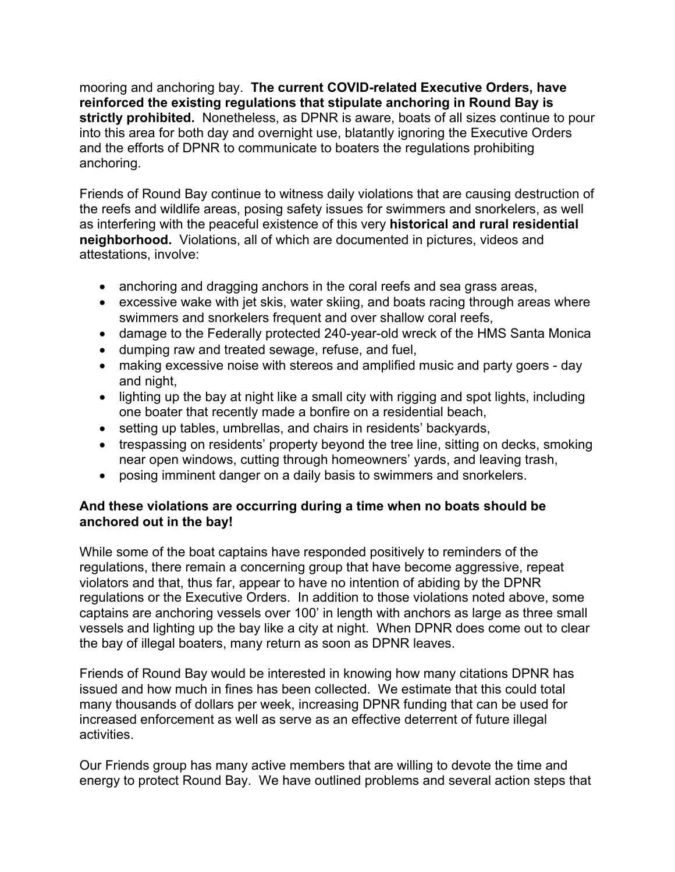mooring and anchoring bay. **The current COVID-related Executive Orders, have reinforced the existing regulations that stipulate anchoring in Round Bay is strictly prohibited.** Nonetheless, as DPNR is aware, boats of all sizes continue to pour into this area for both day and overnight use, blatantly ignoring the Executive Orders and the efforts of DPNR to communicate to boaters the regulations prohibiting anchoring.

Friends of Round Bay continue to witness daily violations that are causing destruction of the reefs and wildlife areas, posing safety issues for swimmers and snorkelers, as well as interfering with the peaceful existence of this very **historical and rural residential neighborhood.** Violations, all of which are documented in pictures, videos and attestations, involve:

- anchoring and dragging anchors in the coral reefs and sea grass areas,
- excessive wake with jet skis, water skiing, and boats racing through areas where swimmers and snorkelers frequent and over shallow coral reefs,
- damage to the Federally protected 240-year-old wreck of the HMS Santa Monica
- dumping raw and treated sewage, refuse, and fuel,
- making excessive noise with stereos and amplified music and party goers day and night,
- lighting up the bay at night like a small city with rigging and spot lights, including one boater that recently made a bonfire on a residential beach,
- setting up tables, umbrellas, and chairs in residents' backyards,
- trespassing on residents' property beyond the tree line, sitting on decks, smoking near open windows, cutting through homeowners' yards, and leaving trash,
- posing imminent danger on a daily basis to swimmers and snorkelers.

### **And these violations are occurring during a time when no boats should be anchored out in the bay!**

While some of the boat captains have responded positively to reminders of the regulations, there remain a concerning group that have become aggressive, repeat violators and that, thus far, appear to have no intention of abiding by the DPNR regulations or the Executive Orders. In addition to those violations noted above, some captains are anchoring vessels over 100' in length with anchors as large as three small vessels and lighting up the bay like a city at night. When DPNR does come out to clear the bay of illegal boaters, many return as soon as DPNR leaves.

Friends of Round Bay would be interested in knowing how many citations DPNR has issued and how much in fines has been collected. We estimate that this could total many thousands of dollars per week, increasing DPNR funding that can be used for increased enforcement as well as serve as an effective deterrent of future illegal activities.

Our Friends group has many active members that are willing to devote the time and energy to protect Round Bay. We have outlined problems and several action steps that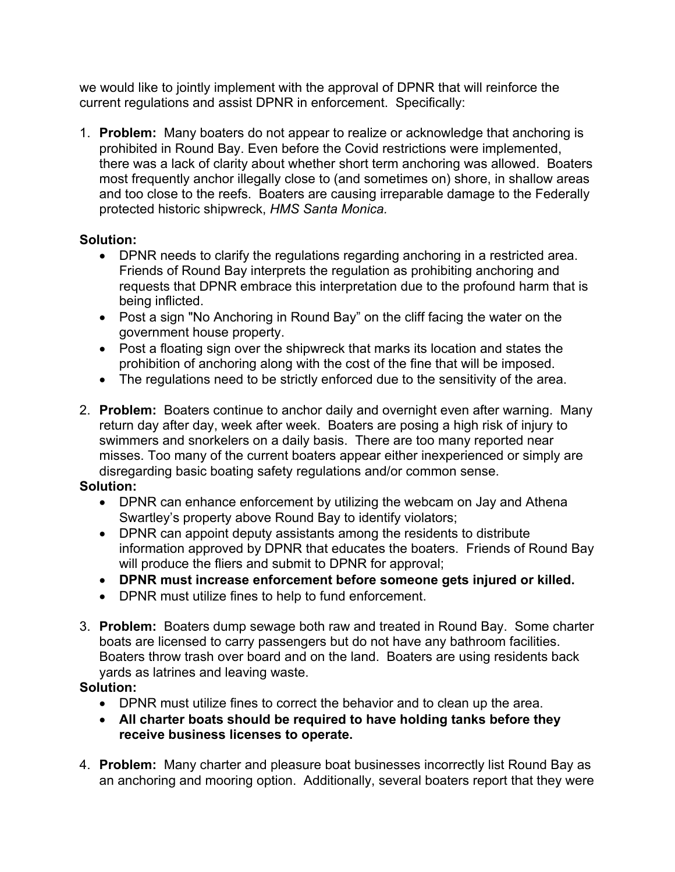we would like to jointly implement with the approval of DPNR that will reinforce the current regulations and assist DPNR in enforcement. Specifically:

1. **Problem:** Many boaters do not appear to realize or acknowledge that anchoring is prohibited in Round Bay. Even before the Covid restrictions were implemented, there was a lack of clarity about whether short term anchoring was allowed. Boaters most frequently anchor illegally close to (and sometimes on) shore, in shallow areas and too close to the reefs. Boaters are causing irreparable damage to the Federally protected historic shipwreck, *HMS Santa Monica.* 

## **Solution:**

- DPNR needs to clarify the regulations regarding anchoring in a restricted area. Friends of Round Bay interprets the regulation as prohibiting anchoring and requests that DPNR embrace this interpretation due to the profound harm that is being inflicted.
- Post a sign "No Anchoring in Round Bay" on the cliff facing the water on the government house property.
- Post a floating sign over the shipwreck that marks its location and states the prohibition of anchoring along with the cost of the fine that will be imposed.
- The regulations need to be strictly enforced due to the sensitivity of the area.
- 2. **Problem:** Boaters continue to anchor daily and overnight even after warning. Many return day after day, week after week. Boaters are posing a high risk of injury to swimmers and snorkelers on a daily basis. There are too many reported near misses. Too many of the current boaters appear either inexperienced or simply are disregarding basic boating safety regulations and/or common sense.

### **Solution:**

- DPNR can enhance enforcement by utilizing the webcam on Jay and Athena Swartley's property above Round Bay to identify violators;
- DPNR can appoint deputy assistants among the residents to distribute information approved by DPNR that educates the boaters. Friends of Round Bay will produce the fliers and submit to DPNR for approval;
- **DPNR must increase enforcement before someone gets injured or killed.**
- DPNR must utilize fines to help to fund enforcement.
- 3. **Problem:** Boaters dump sewage both raw and treated in Round Bay. Some charter boats are licensed to carry passengers but do not have any bathroom facilities. Boaters throw trash over board and on the land. Boaters are using residents back yards as latrines and leaving waste.

# **Solution:**

- DPNR must utilize fines to correct the behavior and to clean up the area.
- **All charter boats should be required to have holding tanks before they receive business licenses to operate.**
- 4. **Problem:** Many charter and pleasure boat businesses incorrectly list Round Bay as an anchoring and mooring option. Additionally, several boaters report that they were